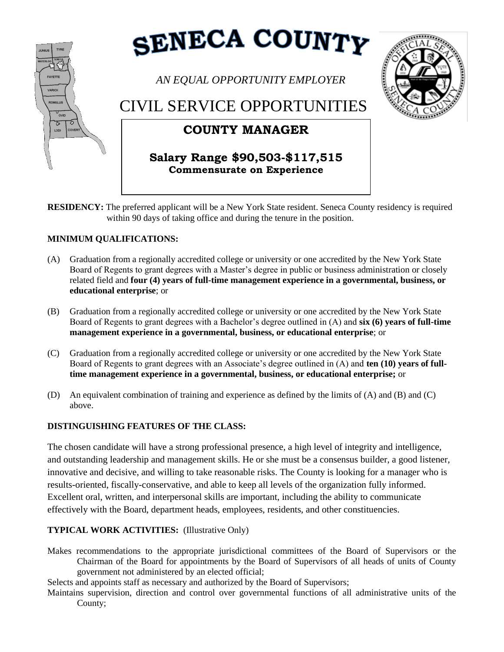

**RESIDENCY:** The preferred applicant will be a New York State resident. Seneca County residency is required within 90 days of taking office and during the tenure in the position.

## **MINIMUM QUALIFICATIONS:**

- (A) Graduation from a regionally accredited college or university or one accredited by the New York State Board of Regents to grant degrees with a Master's degree in public or business administration or closely related field and **four (4) years of full-time management experience in a governmental, business, or educational enterprise**; or
- (B) Graduation from a regionally accredited college or university or one accredited by the New York State Board of Regents to grant degrees with a Bachelor's degree outlined in (A) and **six (6) years of full-time management experience in a governmental, business, or educational enterprise**; or
- (C) Graduation from a regionally accredited college or university or one accredited by the New York State Board of Regents to grant degrees with an Associate's degree outlined in (A) and **ten (10) years of fulltime management experience in a governmental, business, or educational enterprise;** or
- (D) An equivalent combination of training and experience as defined by the limits of (A) and (B) and (C) above.

## **DISTINGUISHING FEATURES OF THE CLASS:**

The chosen candidate will have a strong professional presence, a high level of integrity and intelligence, and outstanding leadership and management skills. He or she must be a consensus builder, a good listener, innovative and decisive, and willing to take reasonable risks. The County is looking for a manager who is results-oriented, fiscally-conservative, and able to keep all levels of the organization fully informed. Excellent oral, written, and interpersonal skills are important, including the ability to communicate effectively with the Board, department heads, employees, residents, and other constituencies.

## **TYPICAL WORK ACTIVITIES:** (Illustrative Only)

Makes recommendations to the appropriate jurisdictional committees of the Board of Supervisors or the Chairman of the Board for appointments by the Board of Supervisors of all heads of units of County government not administered by an elected official;

Selects and appoints staff as necessary and authorized by the Board of Supervisors;

Maintains supervision, direction and control over governmental functions of all administrative units of the County;